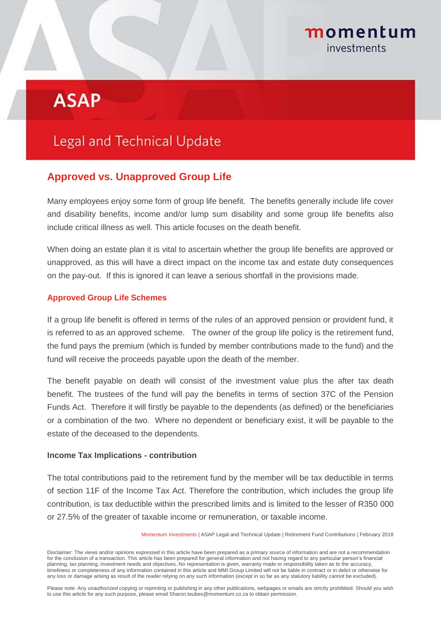## momentum investments

# **ASAP**

## **Legal and Technical Update**

### **Approved vs. Unapproved Group Life**

Many employees enjoy some form of group life benefit. The benefits generally include life cover and disability benefits, income and/or lump sum disability and some group life benefits also include critical illness as well. This article focuses on the death benefit.

When doing an estate plan it is vital to ascertain whether the group life benefits are approved or unapproved, as this will have a direct impact on the income tax and estate duty consequences on the pay-out. If this is ignored it can leave a serious shortfall in the provisions made.

#### **Approved Group Life Schemes**

If a group life benefit is offered in terms of the rules of an approved pension or provident fund, it is referred to as an approved scheme. The owner of the group life policy is the retirement fund, the fund pays the premium (which is funded by member contributions made to the fund) and the fund will receive the proceeds payable upon the death of the member.

The benefit payable on death will consist of the investment value plus the after tax death benefit. The trustees of the fund will pay the benefits in terms of section 37C of the Pension Funds Act. Therefore it will firstly be payable to the dependents (as defined) or the beneficiaries or a combination of the two. Where no dependent or beneficiary exist, it will be payable to the estate of the deceased to the dependents.

#### **Income Tax Implications - contribution**

The total contributions paid to the retirement fund by the member will be tax deductible in terms of section 11F of the Income Tax Act. Therefore the contribution, which includes the group life contribution, is tax deductible within the prescribed limits and is limited to the lesser of R350 000 or 27.5% of the greater of taxable income or remuneration, or taxable income.

Momentum Investments | ASAP Legal and Technical Update | Retirement Fund Contributions | February 2018

Disclaimer: The views and/or opinions expressed in this article have been prepared as a primary source of information and are not a recommendation for the conclusion of a transaction. This article has been prepared for general information and not having regard to any particular person's financial planning, tax planning, investment needs and objectives. No representation is given, warranty made or responsibility taken as to the accuracy, timeliness or completeness of any information contained in this article and MMI Group Limited will not be liable in contract or in delict or otherwise for any loss or damage arising as result of the reader relying on any such information (except in so far as any statutory liability cannot be excluded).

Please note: Any unauthorized copying or reprinting or publishing in any other publications, webpages or emails are strictly prohibited. Should you wish to use this article for any such purpose, please email Sharon.teubes@momentum.co.za to obtain permission.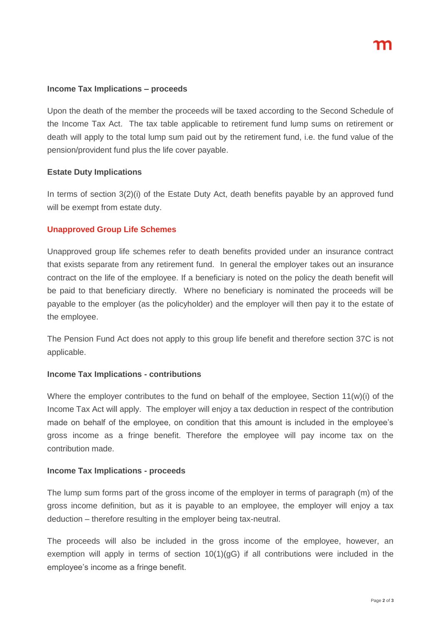#### **Income Tax Implications – proceeds**

Upon the death of the member the proceeds will be taxed according to the Second Schedule of the Income Tax Act. The tax table applicable to retirement fund lump sums on retirement or death will apply to the total lump sum paid out by the retirement fund, i.e. the fund value of the pension/provident fund plus the life cover payable.

#### **Estate Duty Implications**

In terms of section 3(2)(i) of the Estate Duty Act, death benefits payable by an approved fund will be exempt from estate duty.

#### **Unapproved Group Life Schemes**

Unapproved group life schemes refer to death benefits provided under an insurance contract that exists separate from any retirement fund. In general the employer takes out an insurance contract on the life of the employee. If a beneficiary is noted on the policy the death benefit will be paid to that beneficiary directly. Where no beneficiary is nominated the proceeds will be payable to the employer (as the policyholder) and the employer will then pay it to the estate of the employee.

The Pension Fund Act does not apply to this group life benefit and therefore section 37C is not applicable.

#### **Income Tax Implications - contributions**

Where the employer contributes to the fund on behalf of the employee, Section 11(w)(i) of the Income Tax Act will apply. The employer will enjoy a tax deduction in respect of the contribution made on behalf of the employee, on condition that this amount is included in the employee's gross income as a fringe benefit. Therefore the employee will pay income tax on the contribution made.

#### **Income Tax Implications - proceeds**

The lump sum forms part of the gross income of the employer in terms of paragraph (m) of the gross income definition, but as it is payable to an employee, the employer will enjoy a tax deduction – therefore resulting in the employer being tax-neutral.

The proceeds will also be included in the gross income of the employee, however, an exemption will apply in terms of section  $10(1)(qG)$  if all contributions were included in the employee's income as a fringe benefit.